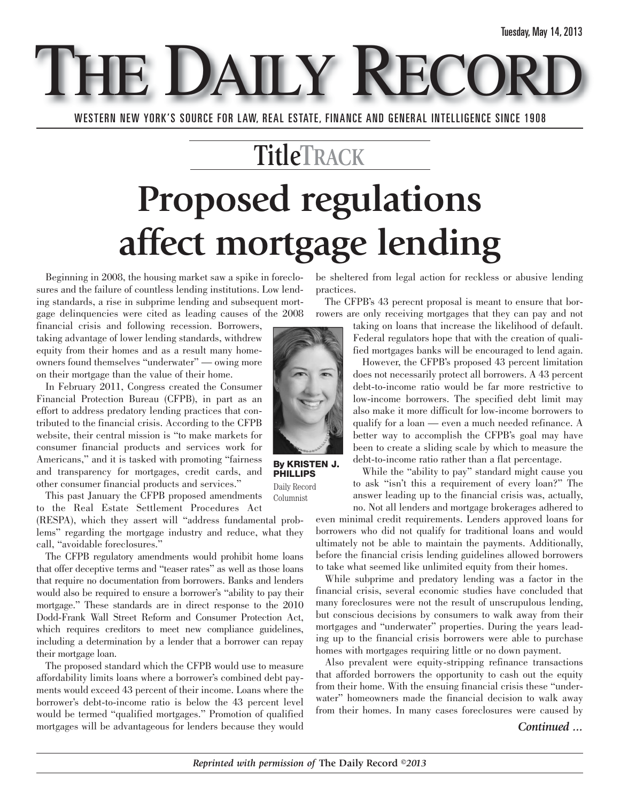E DAILY RE WESTERN NEW YORK'S SOURCE FOR LAW, REAL ESTATE, FINANCE AND GENERAL INTELLIGENCE SINCE 1908

### **TitleTRACK**

# **Proposed regulations affect mortgage lending**

Beginning in 2008, the housing market saw a spike in foreclosures and the failure of countless lending institutions. Low lending standards, a rise in subprime lending and subsequent mortgage delinquencies were cited as leading causes of the 2008

financial crisis and following recession. Borrowers, taking advantage of lower lending standards, withdrew equity from their homes and as a result many homeowners found themselves "underwater" — owing more on their mortgage than the value of their home.

In February 2011, Congress created the Consumer Financial Protection Bureau (CFPB), in part as an effort to address predatory lending practices that contributed to the financial crisis. According to the CFPB website, their central mission is "to make markets for consumer financial products and services work for Americans," and it is tasked with promoting "fairness and transparency for mortgages, credit cards, and other consumer financial products and services."

This past January the CFPB proposed amendments to the Real Estate Settlement Procedures Act

(RESPA), which they assert will "address fundamental problems" regarding the mortgage industry and reduce, what they call, "avoidable foreclosures."

The CFPB regulatory amendments would prohibit home loans that offer deceptive terms and "teaser rates" as well as those loans that require no documentation from borrowers. Banks and lenders would also be required to ensure a borrower's "ability to pay their mortgage." These standards are in direct response to the 2010 Dodd-Frank Wall Street Reform and Consumer Protection Act, which requires creditors to meet new compliance guidelines, including a determination by a lender that a borrower can repay their mortgage loan.

The proposed standard which the CFPB would use to measure affordability limits loans where a borrower's combined debt payments would exceed 43 percent of their income. Loans where the borrower's debt-to-income ratio is below the 43 percent level would be termed "qualified mortgages." Promotion of qualified mortgages will be advantageous for lenders because they would be sheltered from legal action for reckless or abusive lending practices.

The CFPB's 43 perecnt proposal is meant to ensure that borrowers are only receiving mortgages that they can pay and not

> taking on loans that increase the likelihood of default. Federal regulators hope that with the creation of qualified mortgages banks will be encouraged to lend again.

However, the CFPB's proposed 43 percent limitation does not necessarily protect all borrowers. A 43 percent debt-to-income ratio would be far more restrictive to low-income borrowers. The specified debt limit may also make it more difficult for low-income borrowers to qualify for a loan — even a much needed refinance. A better way to accomplish the CFPB's goal may have been to create a sliding scale by which to measure the debt-to-income ratio rather than a flat percentage.

While the "ability to pay" standard might cause you to ask "isn't this a requirement of every loan?" The answer leading up to the financial crisis was, actually, no. Not all lenders and mortgage brokerages adhered to

even minimal credit requirements. Lenders approved loans for borrowers who did not qualify for traditional loans and would ultimately not be able to maintain the payments. Additionally, before the financial crisis lending guidelines allowed borrowers to take what seemed like unlimited equity from their homes.

While subprime and predatory lending was a factor in the financial crisis, several economic studies have concluded that many foreclosures were not the result of unscrupulous lending, but conscious decisions by consumers to walk away from their mortgages and "underwater" properties. During the years leading up to the financial crisis borrowers were able to purchase homes with mortgages requiring little or no down payment.

Also prevalent were equity-stripping refinance transactions that afforded borrowers the opportunity to cash out the equity from their home. With the ensuing financial crisis these "underwater" homeowners made the financial decision to walk away from their homes. In many cases foreclosures were caused by





**By KRISTEN J. PHILLIPS** Daily Record Columnist